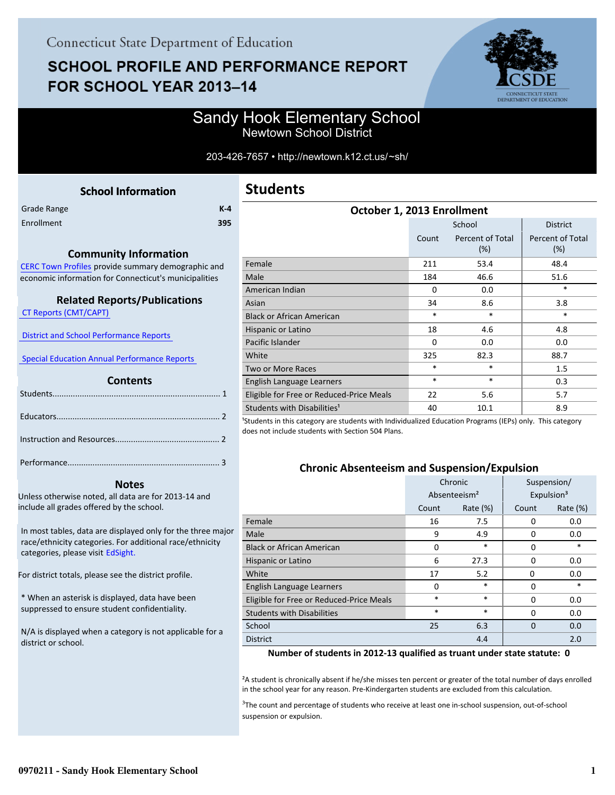# **SCHOOL PROFILE AND PERFORMANCE REPORT** FOR SCHOOL YEAR 2013-14



## Sandy Hook Elementary School Newtown School District

#### 203-426-7657 • http://newtown.k12.ct.us/~sh/

<span id="page-0-0"></span>

|             | <b>School Information</b> |         |
|-------------|---------------------------|---------|
| Grade Range |                           | $K - 4$ |
| Enrollment  |                           | 395     |
|             |                           |         |

#### **Community Information**

[CERC Town Profiles provide summary demographic and](http://www.cerc.com/townprofiles/) economic information for Connecticut's municipalities

#### **Related Reports/Publications**

 [CT Reports \(CMT/CAPT\)](http://ctreports.com/) 

 [District and School Performance Reports](http://www.csde.state.ct.us/public/performancereports/reports.asp) 

 [Special Education Annual Performance Reports](http://sdeportal.ct.gov/Cedar/WEB/ResearchandReports/AnnualPerformanceReport.aspx) 

#### **Contents**

#### **Notes**

Unless otherwise noted, all data are for 2013-14 and include all grades offered by the school.

[In most tables, data are displayed only for the three major](http://edsight.ct.gov) race/ethnicity categories. For additional race/ethnicity categories, please visit EdSight.

For district totals, please see the district profile.

\* When an asterisk is displayed, data have been suppressed to ensure student confidentiality.

N/A is displayed when a category is not applicable for a district or school.

| October 1, 2013 Enrollment               |                           |                         |                         |  |  |  |
|------------------------------------------|---------------------------|-------------------------|-------------------------|--|--|--|
|                                          | School<br><b>District</b> |                         |                         |  |  |  |
|                                          | Count                     | Percent of Total<br>(%) | Percent of Total<br>(%) |  |  |  |
| Female                                   | 211                       | 53.4                    | 48.4                    |  |  |  |
| Male                                     | 184                       | 46.6                    | 51.6                    |  |  |  |
| American Indian                          | $\Omega$                  | 0.0                     | $\ast$                  |  |  |  |
| Asian                                    | 34                        | 8.6                     | 3.8                     |  |  |  |
| <b>Black or African American</b>         | $\ast$                    | $\ast$                  | $\ast$                  |  |  |  |
| Hispanic or Latino                       | 18                        | 4.6                     | 4.8                     |  |  |  |
| Pacific Islander                         | $\Omega$                  | 0.0                     | 0.0                     |  |  |  |
| White                                    | 325                       | 82.3                    | 88.7                    |  |  |  |
| Two or More Races                        | $\ast$                    | $\ast$                  | 1.5                     |  |  |  |
| English Language Learners                | $\ast$                    | $\ast$                  | 0.3                     |  |  |  |
| Eligible for Free or Reduced-Price Meals | 22                        | 5.6                     | 5.7                     |  |  |  |
| Students with Disabilities <sup>1</sup>  | 40                        | 10.1                    | 8.9                     |  |  |  |

<sup>1</sup>Students in this category are students with Individualized Education Programs (IEPs) only. This category does not include students with Section 504 Plans.

#### **Chronic Absenteeism and Suspension/Expulsion**

|                                          | Chronic                  |             | Suspension/ |                        |  |
|------------------------------------------|--------------------------|-------------|-------------|------------------------|--|
|                                          | Absenteeism <sup>2</sup> |             |             | Expulsion <sup>3</sup> |  |
|                                          | Count                    | Rate $(\%)$ | Count       | Rate (%)               |  |
| Female                                   | 16                       | 7.5         | 0           | 0.0                    |  |
| Male                                     | 9                        | 4.9         | 0           | 0.0                    |  |
| <b>Black or African American</b>         | $\Omega$                 | *           | $\Omega$    | *                      |  |
| Hispanic or Latino                       | 6<br>27.3                |             | $\Omega$    | 0.0                    |  |
| White                                    | 17<br>5.2                |             | 0           | 0.0                    |  |
| English Language Learners                | $\Omega$                 | *           | $\Omega$    | $\ast$                 |  |
| Eligible for Free or Reduced-Price Meals | $\ast$                   | $\ast$      | $\Omega$    | 0.0                    |  |
| <b>Students with Disabilities</b>        | $\ast$<br>*              |             | $\Omega$    | 0.0                    |  |
| School                                   | 25                       | 6.3         | $\Omega$    | 0.0                    |  |
| <b>District</b>                          |                          | 4.4         |             | 2.0                    |  |

#### **Number of students in 2012-13 qualified as truant under state statute: 0**

²A student is chronically absent if he/she misses ten percent or greater of the total number of days enrolled in the school year for any reason. Pre-Kindergarten students are excluded from this calculation.

<sup>3</sup>The count and percentage of students who receive at least one in-school suspension, out-of-school suspension or expulsion.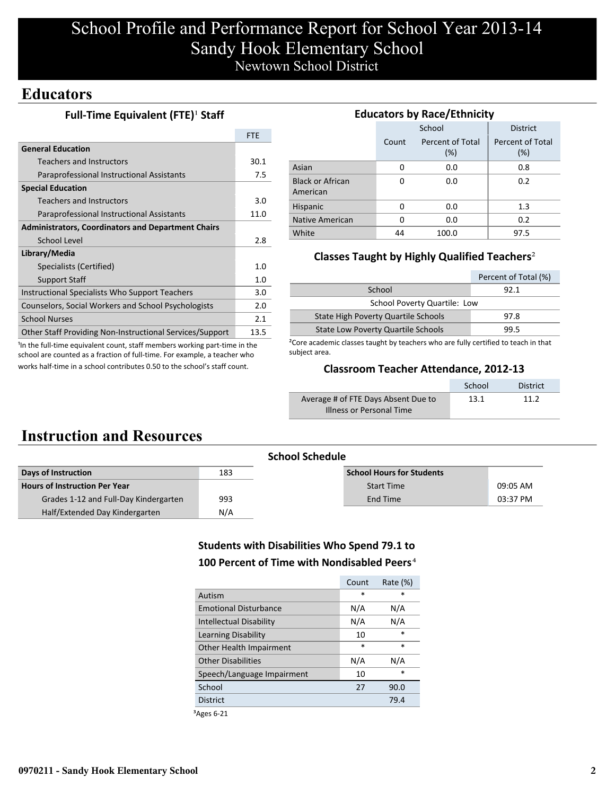# School Profile and Performance Report for School Year 2013-14 Sandy Hook Elementary School Newtown School District

## **Educators**

### **Full-Time Equivalent (FTE)<sup>1</sup> Staff**

|                                                           | <b>FTE</b> |
|-----------------------------------------------------------|------------|
| <b>General Education</b>                                  |            |
| Teachers and Instructors                                  | 30.1       |
| Paraprofessional Instructional Assistants                 | 7.5        |
| <b>Special Education</b>                                  |            |
| Teachers and Instructors                                  | 3.0        |
| Paraprofessional Instructional Assistants                 | 11.0       |
| <b>Administrators, Coordinators and Department Chairs</b> |            |
| School Level                                              | 2.8        |
| Library/Media                                             |            |
| Specialists (Certified)                                   | 1.0        |
| <b>Support Staff</b>                                      | 1.0        |
| Instructional Specialists Who Support Teachers            | 3.0        |
| Counselors, Social Workers and School Psychologists       | 2.0        |
| <b>School Nurses</b>                                      | 2.1        |
| Other Staff Providing Non-Instructional Services/Support  | 13.5       |

<sup>1</sup>In the full-time equivalent count, staff members working part-time in the school are counted as a fraction of full-time. For example, a teacher who works half-time in a school contributes 0.50 to the school's staff count.

#### **Educators by Race/Ethnicity**

|                                     |       | School                     | <b>District</b>         |  |  |
|-------------------------------------|-------|----------------------------|-------------------------|--|--|
|                                     | Count | Percent of Total<br>$(\%)$ | Percent of Total<br>(%) |  |  |
| Asian                               | 0     | 0.0                        | 0.8                     |  |  |
| <b>Black or African</b><br>American | 0     | 0.0                        | 0.2                     |  |  |
| Hispanic                            | 0     | 0.0                        | 1.3                     |  |  |
| Native American                     | 0     | 0.0                        | 0.2                     |  |  |
| White                               | 44    | 100.0                      | 97.5                    |  |  |

### **Classes Taught by Highly Qualified Teachers**²

| Percent of Total (%)                      |      |  |  |
|-------------------------------------------|------|--|--|
| School                                    | 92.1 |  |  |
| School Poverty Quartile: Low              |      |  |  |
| State High Poverty Quartile Schools       | 97.8 |  |  |
| <b>State Low Poverty Quartile Schools</b> | 99.5 |  |  |

²Core academic classes taught by teachers who are fully certified to teach in that subject area.

#### **Classroom Teacher Attendance, 2012-13**

|                                     | School | <b>District</b> |
|-------------------------------------|--------|-----------------|
| Average # of FTE Days Absent Due to | 13.1   | 11 2            |
| Illness or Personal Time            |        |                 |

## **Instruction and Resources**

| <b>School Schedule</b>                |     |                                  |          |  |  |
|---------------------------------------|-----|----------------------------------|----------|--|--|
| Days of Instruction                   | 183 | <b>School Hours for Students</b> |          |  |  |
| <b>Hours of Instruction Per Year</b>  |     | <b>Start Time</b>                | 09:05 AM |  |  |
| Grades 1-12 and Full-Day Kindergarten | 993 | End Time                         | 03:37 PM |  |  |
| Half/Extended Day Kindergarten        | N/A |                                  |          |  |  |

### **Students with Disabilities Who Spend 79.1 to 100 Percent of Time with Nondisabled Peers**⁴

|                                | Count  | Rate $(\%)$ |
|--------------------------------|--------|-------------|
| Autism                         | $\ast$ | *           |
| <b>Emotional Disturbance</b>   | N/A    | N/A         |
| <b>Intellectual Disability</b> | N/A    | N/A         |
| Learning Disability            | 10     | $\ast$      |
| Other Health Impairment        | $\ast$ | $\ast$      |
| <b>Other Disabilities</b>      | N/A    | N/A         |
| Speech/Language Impairment     | 10     | *           |
| School                         | 27     | 90.0        |
| <b>District</b>                |        | 79.4        |
|                                |        |             |

³Ages 6-21